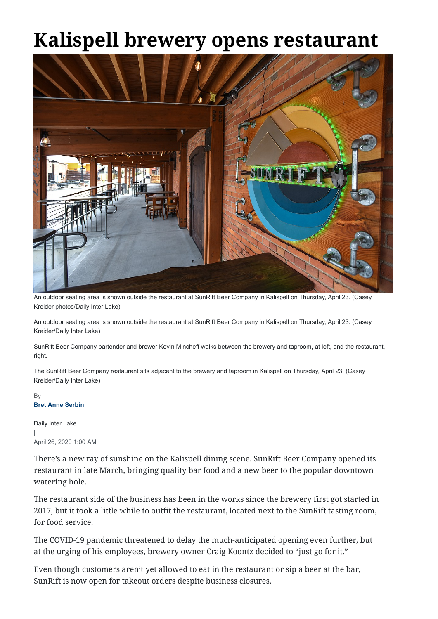## **Kalispell brewery opens restaurant**



```
Daily Inter Lake
|
April 26, 2020 1:00 AM
```
There's a new ray of sunshine on the Kalispell dining scene. SunRift Beer Company opened its restaurant in late March, bringing quality bar food and a new beer to the popular downtown watering hole.

The restaurant side of the business has been in the works since the brewery first got started in 2017, but it took a little while to outfit the restaurant, located next to the SunRift tasting room, for food service.

The COVID-19 pandemic threatened to delay the much-anticipated opening even further, but at the urging of his employees, brewery owner Craig Koontz decided to "just go for it."

## **Bret Anne Serbin** By

Even though customers aren't yet allowed to eat in the restaurant or sip a beer at the bar, SunRift is now open for takeout orders despite business closures.

An outdoor seating area is shown outside the restaurant at SunRift Beer Company in Kalispell on Thursday, April 23. (Casey Kreider photos/Daily Inter Lake)

An outdoor seating area is shown outside the restaurant at SunRift Beer Company in Kalispell on Thursday, April 23. (Casey Kreider/Daily Inter Lake)

SunRift Beer Company bartender and brewer Kevin Mincheff walks between the brewery and taproom, at left, and the restaurant, right.

The SunRift Beer Company restaurant sits adjacent to the brewery and taproom in Kalispell on Thursday, April 23. (Casey Kreider/Daily Inter Lake)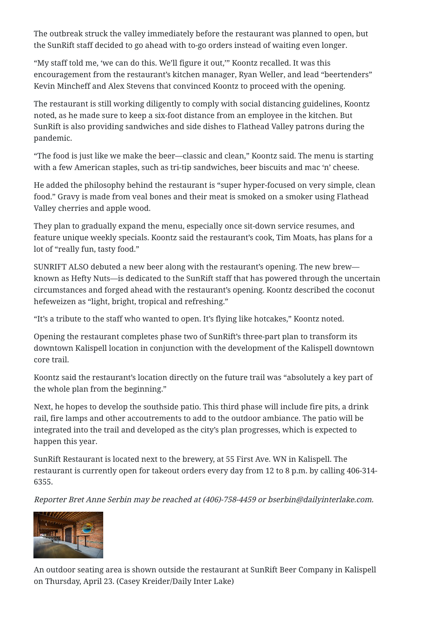The outbreak struck the valley immediately before the restaurant was planned to open, but the SunRift staff decided to go ahead with to-go orders instead of waiting even longer.

"My staff told me, 'we can do this. We'll figure it out,'" Koontz recalled. It was this encouragement from the restaurant's kitchen manager, Ryan Weller, and lead "beertenders" Kevin Mincheff and Alex Stevens that convinced Koontz to proceed with the opening.

The restaurant is still working diligently to comply with social distancing guidelines, Koontz noted, as he made sure to keep a six-foot distance from an employee in the kitchen. But SunRift is also providing sandwiches and side dishes to Flathead Valley patrons during the pandemic.

"The food is just like we make the beer—classic and clean," Koontz said. The menu is starting with a few American staples, such as tri-tip sandwiches, beer biscuits and mac 'n' cheese.

He added the philosophy behind the restaurant is "super hyper-focused on very simple, clean food." Gravy is made from veal bones and their meat is smoked on a smoker using Flathead Valley cherries and apple wood.

They plan to gradually expand the menu, especially once sit-down service resumes, and feature unique weekly specials. Koontz said the restaurant's cook, Tim Moats, has plans for a lot of "really fun, tasty food."

SUNRIFT ALSO debuted a new beer along with the restaurant's opening. The new brew known as Hefty Nuts—is dedicated to the SunRift staff that has powered through the uncertain circumstances and forged ahead with the restaurant's opening. Koontz described the coconut hefeweizen as "light, bright, tropical and refreshing."

"It's a tribute to the staff who wanted to open. It's flying like hotcakes," Koontz noted.

Opening the restaurant completes phase two of SunRift's three-part plan to transform its downtown Kalispell location in conjunction with the development of the Kalispell downtown core trail.

Koontz said the restaurant's location directly on the future trail was "absolutely a key part of the whole plan from the beginning."

Next, he hopes to develop the southside patio. This third phase will include fire pits, a drink rail, fire lamps and other accoutrements to add to the outdoor ambiance. The patio will be integrated into the trail and developed as the city's plan progresses, which is expected to happen this year.

SunRift Restaurant is located next to the brewery, at 55 First Ave. WN in Kalispell. The restaurant is currently open for takeout orders every day from 12 to 8 p.m. by calling 406-314- 6355.

Reporter Bret Anne Serbin may be reached at (406)-758-4459 or bserbin@dailyinterlake.com.



An outdoor seating area is shown outside the restaurant at SunRift Beer Company in Kalispell on Thursday, April 23. (Casey Kreider/Daily Inter Lake)